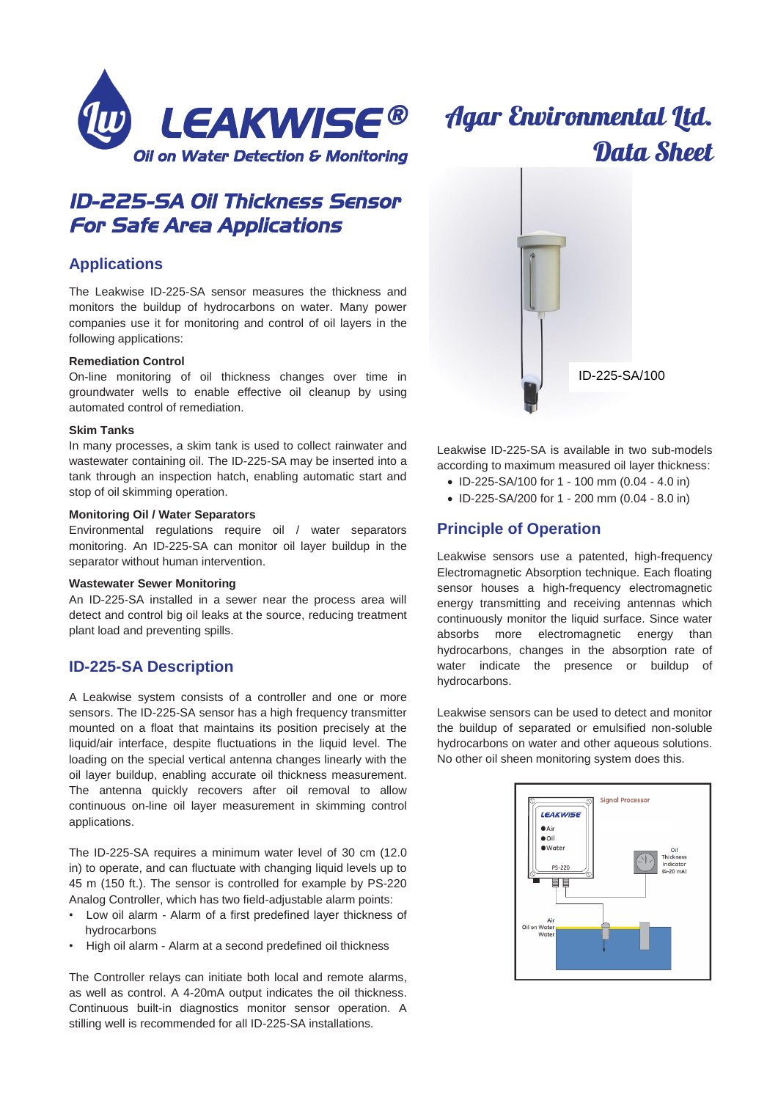

# *ID-225-SA Oil Thickness Sensor For Safe Area Applications*

### **Applications**

The Leakwise ID-225-SA sensor measures the thickness and monitors the buildup of hydrocarbons on water. Many power companies use it for monitoring and control of oil layers in the following applications:

#### **Remediation Control**

On-line monitoring of oil thickness changes over time in groundwater wells to enable effective oil cleanup by using automated control of remediation.

#### **Skim Tanks**

In many processes, a skim tank is used to collect rainwater and wastewater containing oil. The ID-225-SA may be inserted into a tank through an inspection hatch, enabling automatic start and stop of oil skimming operation.

#### **Monitoring Oil / Water Separators**

Environmental regulations require oil / water separators monitoring. An ID-225-SA can monitor oil layer buildup in the separator without human intervention.

#### **Wastewater Sewer Monitoring**

An ID-225-SA installed in a sewer near the process area will detect and control big oil leaks at the source, reducing treatment plant load and preventing spills.

### **ID-225-SA Description**

A Leakwise system consists of a controller and one or more sensors. The ID-225-SA sensor has a high frequency transmitter mounted on a float that maintains its position precisely at the liquid/air interface, despite fluctuations in the liquid level. The loading on the special vertical antenna changes linearly with the oil layer buildup, enabling accurate oil thickness measurement. The antenna quickly recovers after oil removal to allow continuous on-line oil layer measurement in skimming control applications.

The ID-225-SA requires a minimum water level of 30 cm (12.0 in) to operate, and can fluctuate with changing liquid levels up to 45 m (150 ft.). The sensor is controlled for example by PS-220 Analog Controller, which has two field-adjustable alarm points:

- Low oil alarm Alarm of a first predefined layer thickness of hydrocarbons
- High oil alarm Alarm at a second predefined oil thickness

The Controller relays can initiate both local and remote alarms, as well as control. A 4-20mA output indicates the oil thickness. Continuous built-in diagnostics monitor sensor operation. A stilling well is recommended for all ID-225-SA installations.



**Agar Environmental Ltd.** 

Leakwise ID-225-SA is available in two sub-models according to maximum measured oil layer thickness:

- ID-225-SA/100 for 1 100 mm (0.04 4.0 in)
- ID-225-SA/200 for 1 200 mm (0.04 8.0 in)

### **Principle of Operation**

Leakwise sensors use a patented, high-frequency Electromagnetic Absorption technique. Each floating sensor houses a high-frequency electromagnetic energy transmitting and receiving antennas which continuously monitor the liquid surface. Since water absorbs more electromagnetic energy than hydrocarbons, changes in the absorption rate of water indicate the presence or buildup of hydrocarbons.

Leakwise sensors can be used to detect and monitor the buildup of separated or emulsified non-soluble hydrocarbons on water and other aqueous solutions. No other oil sheen monitoring system does this.